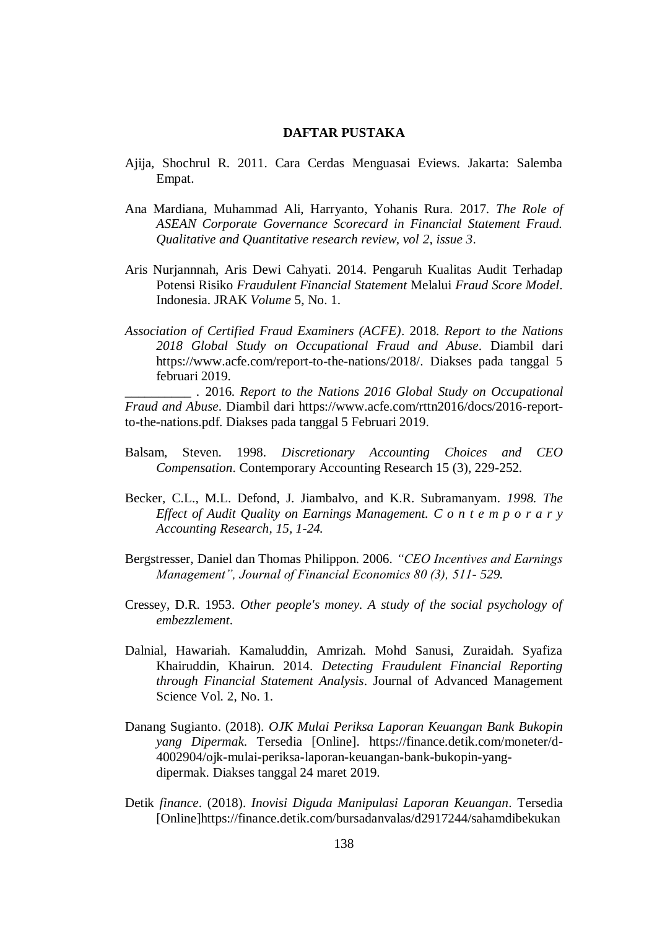## **DAFTAR PUSTAKA**

- Ajija, Shochrul R. 2011. Cara Cerdas Menguasai Eviews. Jakarta: Salemba Empat.
- Ana Mardiana, Muhammad Ali, Harryanto, Yohanis Rura. 2017*. The Role of ASEAN Corporate Governance Scorecard in Financial Statement Fraud. Qualitative and Quantitative research review, vol 2, issue 3*.
- Aris Nurjannnah, Aris Dewi Cahyati. 2014. Pengaruh Kualitas Audit Terhadap Potensi Risiko *Fraudulent Financial Statement* Melalui *Fraud Score Model*. Indonesia. JRAK *Volume* 5, No. 1.
- *Association of Certified Fraud Examiners (ACFE)*. 2018. *Report to the Nations 2018 Global Study on Occupational Fraud and Abuse*. Diambil dari https://www.acfe.com/report-to-the-nations/2018/. Diakses pada tanggal 5 februari 2019.

*\_\_\_\_\_\_\_\_\_\_ .* 2016. *Report to the Nations 2016 Global Study on Occupational Fraud and Abuse*. Diambil dari https://www.acfe.com/rttn2016/docs/2016-reportto-the-nations.pdf. Diakses pada tanggal 5 Februari 2019.

- Balsam, Steven. 1998. *Discretionary Accounting Choices and CEO Compensation*. Contemporary Accounting Research 15 (3), 229-252.
- Becker, C.L., M.L. Defond, J. Jiambalvo, and K.R. Subramanyam*. 1998. The Effect of Audit Quality on Earnings Management. C o n t e m p o r a r y Accounting Research, 15, 1-24.*
- Bergstresser, Daniel dan Thomas Philippon. 2006*. "CEO Incentives and Earnings Management", Journal of Financial Economics 80 (3), 511- 529.*
- Cressey, D.R. 1953. *Other people's money. A study of the social psychology of embezzlement*.
- Dalnial, Hawariah. Kamaluddin, Amrizah. Mohd Sanusi, Zuraidah. Syafiza Khairuddin, Khairun. 2014. *Detecting Fraudulent Financial Reporting through Financial Statement Analysis*. Journal of Advanced Management Science Vol. 2, No. 1.
- Danang Sugianto. (2018). *OJK Mulai Periksa Laporan Keuangan Bank Bukopin yang Dipermak*. Tersedia [Online]. https://finance.detik.com/moneter/d-4002904/ojk-mulai-periksa-laporan-keuangan-bank-bukopin-yangdipermak. Diakses tanggal 24 maret 2019.
- Detik *finance*. (2018). *Inovisi Diguda Manipulasi Laporan Keuangan*. Tersedia [Online]https://finance.detik.com/bursadanvalas/d2917244/sahamdibekukan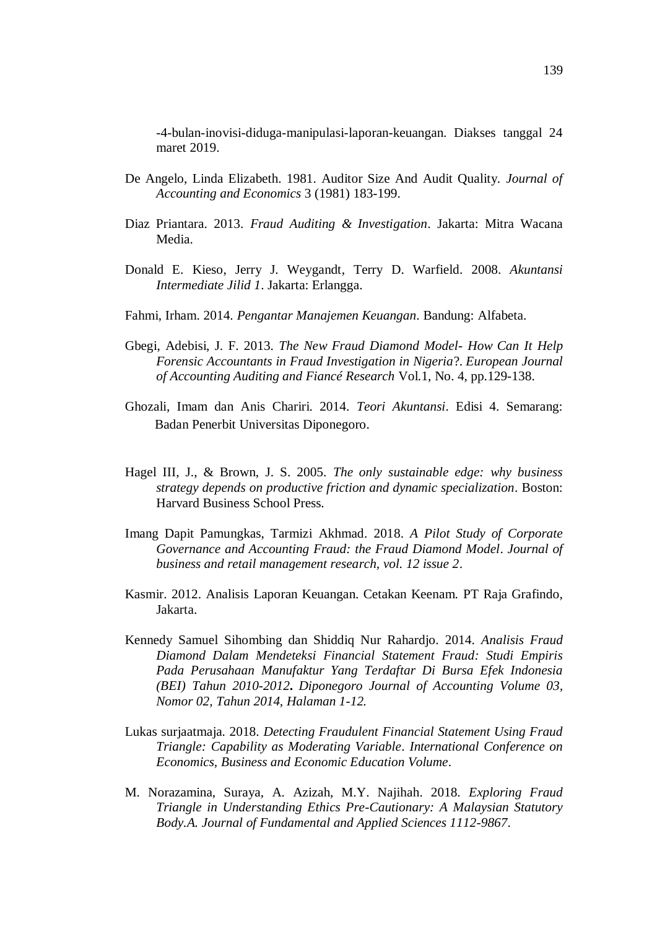-4-bulan-inovisi-diduga-manipulasi-laporan-keuangan. Diakses tanggal 24 maret 2019.

- De Angelo, Linda Elizabeth. 1981. Auditor Size And Audit Quality. *Journal of Accounting and Economics* 3 (1981) 183-199.
- Diaz Priantara. 2013. *Fraud Auditing & Investigation*. Jakarta: Mitra Wacana Media.
- [Donald E. Kieso,](https://www.goodreads.com/author/show/373082.Donald_E_Kieso) [Jerry J. Weygandt,](https://www.goodreads.com/author/show/300125.Jerry_J_Weygandt) [Terry D. Warfield.](https://www.goodreads.com/author/show/571096.Terry_D_Warfield) 2008. *Akuntansi Intermediate Jilid 1*. Jakarta: Erlangga.
- Fahmi, Irham. 2014. *Pengantar Manajemen Keuangan*. Bandung: Alfabeta.
- Gbegi, Adebisi, J. F. 2013. *The New Fraud Diamond Model- How Can It Help Forensic Accountants in Fraud Investigation in Nigeria*?. *European Journal of Accounting Auditing and Fiancé Research* Vol.1, No. 4, pp.129-138.
- Ghozali, Imam dan Anis Chariri. 2014. *Teori Akuntansi*. Edisi 4. Semarang: Badan Penerbit Universitas Diponegoro.
- Hagel III, J., & Brown, J. S. 2005. *The only sustainable edge: why business strategy depends on productive friction and dynamic specialization*. Boston: Harvard Business School Press.
- Imang Dapit Pamungkas, Tarmizi Akhmad. 2018. *A Pilot Study of Corporate Governance and Accounting Fraud: the Fraud Diamond Model*. *Journal of business and retail management research, vol. 12 issue 2*.
- Kasmir. 2012. Analisis Laporan Keuangan. Cetakan Keenam. PT Raja Grafindo, Jakarta.
- Kennedy Samuel Sihombing dan Shiddiq Nur Rahardjo. 2014. *Analisis Fraud Diamond Dalam Mendeteksi Financial Statement Fraud: Studi Empiris Pada Perusahaan Manufaktur Yang Terdaftar Di Bursa Efek Indonesia (BEI) Tahun 2010-2012***.** *Diponegoro Journal of Accounting Volume 03, Nomor 02, Tahun 2014, Halaman 1-12.*
- Lukas surjaatmaja. 2018. *Detecting Fraudulent Financial Statement Using Fraud Triangle: Capability as Moderating Variable*. *International Conference on Economics, Business and Economic Education Volume*.
- M. Norazamina, Suraya, A. Azizah, M.Y. Najihah. 2018*. Exploring Fraud Triangle in Understanding Ethics Pre-Cautionary: A Malaysian Statutory Body.A. Journal of Fundamental and Applied Sciences 1112-9867*.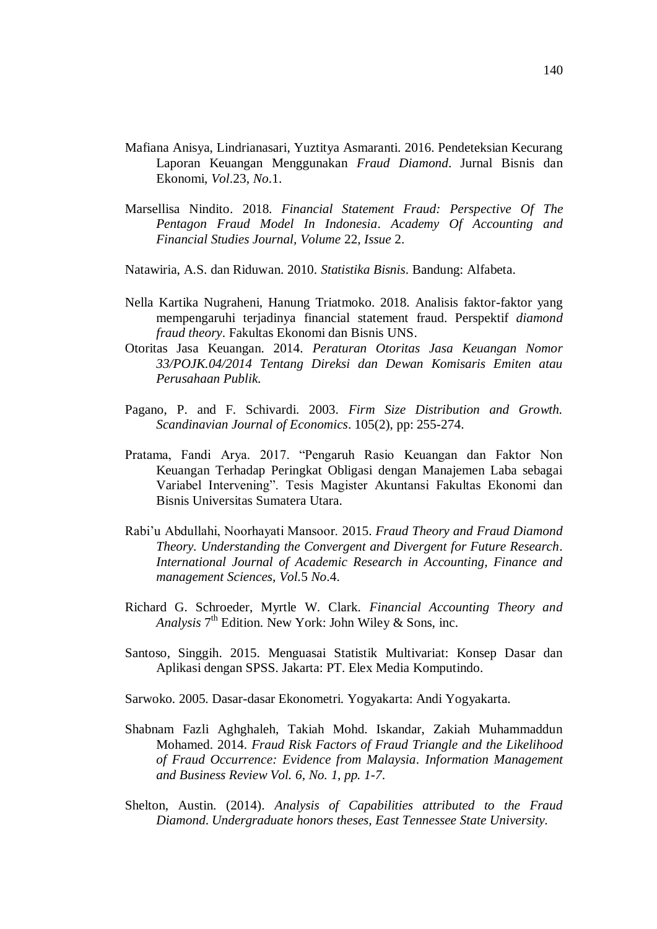- Mafiana Anisya, Lindrianasari, Yuztitya Asmaranti. 2016. Pendeteksian Kecurang Laporan Keuangan Menggunakan *Fraud Diamond*. Jurnal Bisnis dan Ekonomi, *Vol*.23, *No*.1.
- Marsellisa Nindito. 2018. *Financial Statement Fraud: Perspective Of The Pentagon Fraud Model In Indonesia*. *Academy Of Accounting and Financial Studies Journal, Volume* 22*, Issue* 2.
- Natawiria, A.S. dan Riduwan. 2010. *Statistika Bisnis*. Bandung: Alfabeta.
- Nella Kartika Nugraheni, Hanung Triatmoko. 2018. Analisis faktor-faktor yang mempengaruhi terjadinya financial statement fraud. Perspektif *diamond fraud theory*. Fakultas Ekonomi dan Bisnis UNS.
- Otoritas Jasa Keuangan. 2014. *Peraturan Otoritas Jasa Keuangan Nomor 33/POJK.04/2014 Tentang Direksi dan Dewan Komisaris Emiten atau Perusahaan Publik.*
- Pagano, P. and F. Schivardi. 2003. *Firm Size Distribution and Growth. Scandinavian Journal of Economics*. 105(2), pp: 255-274.
- Pratama, Fandi Arya. 2017. "Pengaruh Rasio Keuangan dan Faktor Non Keuangan Terhadap Peringkat Obligasi dengan Manajemen Laba sebagai Variabel Intervening". Tesis Magister Akuntansi Fakultas Ekonomi dan Bisnis Universitas Sumatera Utara.
- Rabi'u Abdullahi, Noorhayati Mansoor. 2015. *Fraud Theory and Fraud Diamond Theory. Understanding the Convergent and Divergent for Future Research*. *International Journal of Academic Research in Accounting, Finance and management Sciences, Vol.*5 *No*.4.
- Richard G. Schroeder, Myrtle W. Clark. *Financial Accounting Theory and*  Analysis<sup>7th</sup> Edition. New York: John Wiley & Sons, inc.
- Santoso, Singgih. 2015. Menguasai Statistik Multivariat: Konsep Dasar dan Aplikasi dengan SPSS. Jakarta: PT. Elex Media Komputindo.
- Sarwoko. 2005. Dasar-dasar Ekonometri. Yogyakarta: Andi Yogyakarta.
- Shabnam Fazli Aghghaleh, Takiah Mohd. Iskandar, Zakiah Muhammaddun Mohamed. 2014. *Fraud Risk Factors of Fraud Triangle and the Likelihood of Fraud Occurrence: Evidence from Malaysia*. *Information Management and Business Review Vol. 6, No. 1, pp. 1-7*.
- Shelton, Austin. (2014). *Analysis of Capabilities attributed to the Fraud Diamond*. *Undergraduate honors theses, East Tennessee State University.*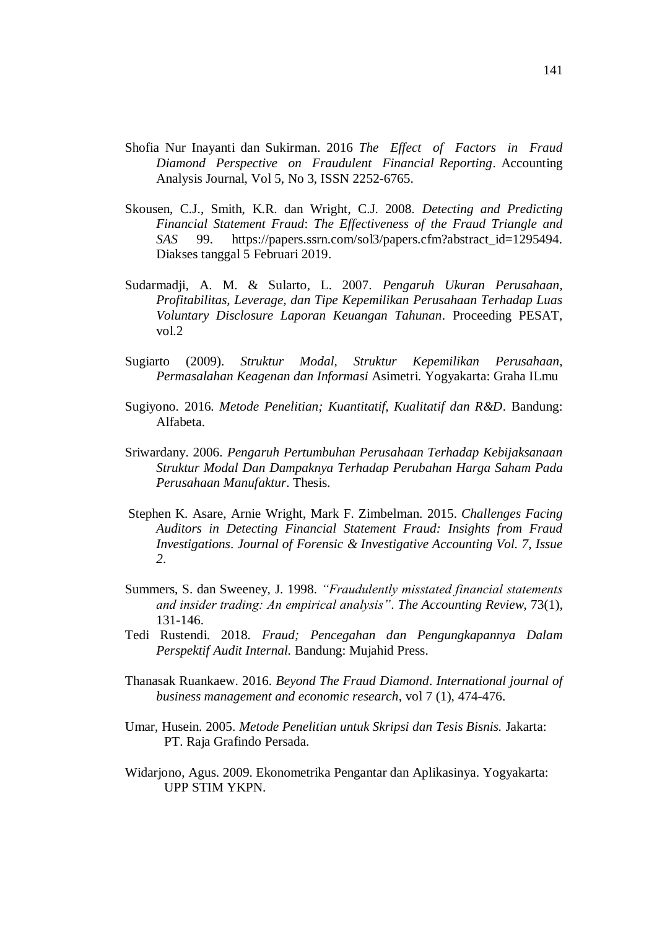- Shofia Nur Inayanti dan Sukirman. 2016 *The Effect of Factors in Fraud Diamond Perspective on Fraudulent Financial Reporting*. Accounting Analysis Journal, Vol 5, No 3, ISSN 2252-6765.
- Skousen, C.J., Smith, K.R. dan Wright, C.J. 2008. *Detecting and Predicting Financial Statement Fraud*: *The Effectiveness of the Fraud Triangle and SAS* 99. https://papers.ssrn.com/sol3/papers.cfm?abstract\_id=1295494. Diakses tanggal 5 Februari 2019.
- Sudarmadji, A. M. & Sularto, L. 2007. *Pengaruh Ukuran Perusahaan, Profitabilitas, Leverage, dan Tipe Kepemilikan Perusahaan Terhadap Luas Voluntary Disclosure Laporan Keuangan Tahunan*. Proceeding PESAT, vol.2
- Sugiarto (2009). *Struktur Modal, Struktur Kepemilikan Perusahaan, Permasalahan Keagenan dan Informasi* Asimetri. Yogyakarta: Graha ILmu
- Sugiyono*.* 2016. *Metode Penelitian; Kuantitatif, Kualitatif dan R&D*. Bandung: Alfabeta.
- Sriwardany. 2006. *Pengaruh Pertumbuhan Perusahaan Terhadap Kebijaksanaan Struktur Modal Dan Dampaknya Terhadap Perubahan Harga Saham Pada Perusahaan Manufaktur*. Thesis.
- Stephen K. Asare, Arnie Wright, Mark F. Zimbelman. 2015. *Challenges Facing Auditors in Detecting Financial Statement Fraud: Insights from Fraud Investigations*. *Journal of Forensic & Investigative Accounting Vol. 7, Issue 2*.
- Summers, S. dan Sweeney, J. 1998. *"Fraudulently misstated financial statements and insider trading: An empirical analysis"*. *The Accounting Review*, 73(1), 131-146.
- Tedi Rustendi. 2018. *Fraud; Pencegahan dan Pengungkapannya Dalam Perspektif Audit Internal.* Bandung: Mujahid Press.
- Thanasak Ruankaew. 2016. *Beyond The Fraud Diamond*. *International journal of business management and economic research*, vol 7 (1), 474-476.
- Umar, Husein. 2005. *Metode Penelitian untuk Skripsi dan Tesis Bisnis.* Jakarta: PT. Raja Grafindo Persada.
- Widarjono, Agus. 2009. Ekonometrika Pengantar dan Aplikasinya. Yogyakarta: UPP STIM YKPN.